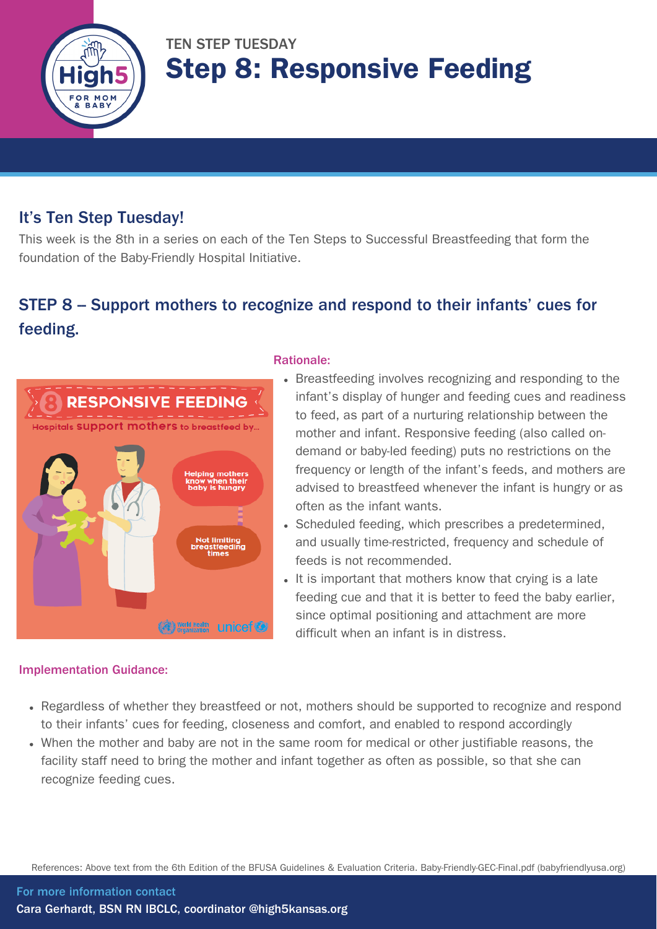

## TEN STEP TUESDAY Step 8: Responsive Feeding

### It's Ten Step Tuesday!

This week is the 8th in a series on each of the Ten Steps to Successful Breastfeeding that form the foundation of the Baby-Friendly Hospital Initiative.

## STEP 8 – Support mothers to recognize and respond to their infants' cues for feeding.



#### Implementation Guidance:

#### Rationale:

- Breastfeeding involves recognizing and responding to the infant's display of hunger and feeding cues and readiness to feed, as part of a nurturing relationship between the mother and infant. Responsive feeding (also called ondemand or baby-led feeding) puts no restrictions on the frequency or length of the infant's feeds, and mothers are advised to breastfeed whenever the infant is hungry or as often as the infant wants.
- Scheduled feeding, which prescribes a predetermined, and usually time-restricted, frequency and schedule of feeds is not recommended.
- It is important that mothers know that crying is a late feeding cue and that it is better to feed the baby earlier, since optimal positioning and attachment are more difficult when an infant is in distress.
- Regardless of whether they breastfeed or not, mothers should be supported to recognize and respond to their infants' cues for feeding, closeness and comfort, and enabled to respond accordingly
- When the mother and baby are not in the same room for medical or other justifiable reasons, the facility staff need to bring the mother and infant together as often as possible, so that she can recognize feeding cues.

References: Above text from the 6th Edition of the BFUSA Guidelines & Evaluation Criteria. [Baby-Friendly-GEC-Final.pdf](https://www.babyfriendlyusa.org/wp-content/uploads/2021/07/Baby-Friendly-GEC-Final.pdf) (babyfriendlyusa.org)